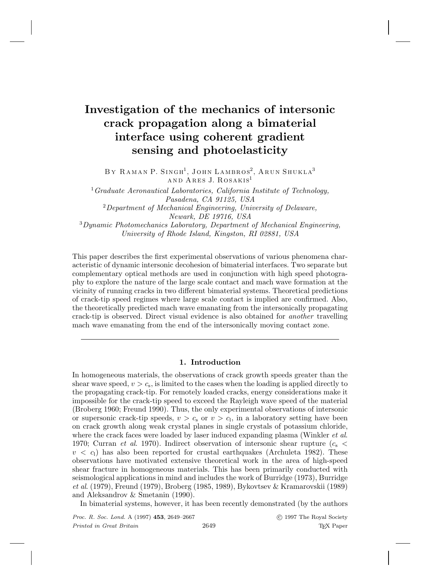# **Investigation of the mechanics of intersonic crack propagation along a bimaterial interface using coherent gradient sensing and photoelasticity**

BY RAMAN P. SINGH<sup>1</sup>, JOHN LAMBROS<sup>2</sup>, ARUN SHUKLA<sup>3</sup> AND ARES J. ROSAKIS<sup>1</sup>

<sup>1</sup>Graduate Aeronautical Laboratories, California Institute of Technology, Pasadena, CA 91125, USA  $2$ Department of Mechanical Engineering, University of Delaware, Newark, DE 19716, USA

<sup>3</sup>Dynamic Photomechanics Laboratory, Department of Mechanical Engineering, University of Rhode Island, Kingston, RI 02881, USA

This paper describes the first experimental observations of various phenomena characteristic of dynamic intersonic decohesion of bimaterial interfaces. Two separate but complementary optical methods are used in conjunction with high speed photography to explore the nature of the large scale contact and mach wave formation at the vicinity of running cracks in two different bimaterial systems. Theoretical predictions of crack-tip speed regimes where large scale contact is implied are confirmed. Also, the theoretically predicted mach wave emanating from the intersonically propagating crack-tip is observed. Direct visual evidence is also obtained for another travelling mach wave emanating from the end of the intersonically moving contact zone.

# **1. Introduction**

In homogeneous materials, the observations of crack growth speeds greater than the shear wave speed,  $v>c_s$ , is limited to the cases when the loading is applied directly to the propagating crack-tip. For remotely loaded cracks, energy considerations make it impossible for the crack-tip speed to exceed the Rayleigh wave speed of the material (Broberg 1960; Freund 1990). Thus, the only experimental observations of intersonic or supersonic crack-tip speeds,  $v>c_s$  or  $v>c_1$ , in a laboratory setting have been on crack growth along weak crystal planes in single crystals of potassium chloride, where the crack faces were loaded by laser induced expanding plasma (Winkler *et al.*) 1970; Curran *et al.* 1970). Indirect observation of intersonic shear rupture  $(c_s <$  $v < c<sub>1</sub>$ ) has also been reported for crustal earthquakes (Archuleta 1982). These observations have motivated extensive theoretical work in the area of high-speed shear fracture in homogeneous materials. This has been primarily conducted with seismological applications in mind and includes the work of Burridge (1973), Burridge et al. (1979), Freund (1979), Broberg (1985, 1989), Bykovtsev & Kramarovskii (1989) and Aleksandrov & Smetanin (1990).

In bimaterial systems, however, it has been recently demonstrated (by the authors

Proc. R. Soc. Lond. A (1997) **453**, 2649–2667 c 1997 The Royal Society Printed in Great Britain 2649 2009 TEX Paper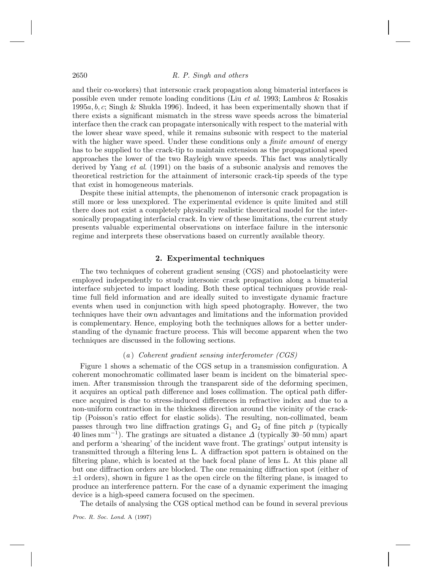and their co-workers) that intersonic crack propagation along bimaterial interfaces is possible even under remote loading conditions (Liu et al. 1993; Lambros & Rosakis  $1995a, b, c$ ; Singh & Shukla 1996). Indeed, it has been experimentally shown that if there exists a significant mismatch in the stress wave speeds across the bimaterial interface then the crack can propagate intersonically with respect to the material with the lower shear wave speed, while it remains subsonic with respect to the material with the higher wave speed. Under these conditions only a *finite amount* of energy has to be supplied to the crack-tip to maintain extension as the propagational speed approaches the lower of the two Rayleigh wave speeds. This fact was analytically derived by Yang et al. (1991) on the basis of a subsonic analysis and removes the theoretical restriction for the attainment of intersonic crack-tip speeds of the type that exist in homogeneous materials.

Despite these initial attempts, the phenomenon of intersonic crack propagation is still more or less unexplored. The experimental evidence is quite limited and still there does not exist a completely physically realistic theoretical model for the intersonically propagating interfacial crack. In view of these limitations, the current study presents valuable experimental observations on interface failure in the intersonic regime and interprets these observations based on currently available theory.

#### **2. Experimental techniques**

The two techniques of coherent gradient sensing (CGS) and photoelasticity were employed independently to study intersonic crack propagation along a bimaterial interface subjected to impact loading. Both these optical techniques provide realtime full field information and are ideally suited to investigate dynamic fracture events when used in conjunction with high speed photography. However, the two techniques have their own advantages and limitations and the information provided is complementary. Hence, employing both the techniques allows for a better understanding of the dynamic fracture process. This will become apparent when the two techniques are discussed in the following sections.

#### (a ) Coherent gradient sensing interferometer (CGS)

Figure 1 shows a schematic of the CGS setup in a transmission configuration. A coherent monochromatic collimated laser beam is incident on the bimaterial specimen. After transmission through the transparent side of the deforming specimen, it acquires an optical path difference and loses collimation. The optical path difference acquired is due to stress-induced differences in refractive index and due to a non-uniform contraction in the thickness direction around the vicinity of the cracktip (Poisson's ratio effect for elastic solids). The resulting, non-collimated, beam passes through two line diffraction gratings  $G_1$  and  $G_2$  of fine pitch p (typically 40 lines mm<sup>-1</sup>). The gratings are situated a distance  $\Delta$  (typically 30–50 mm) apart and perform a 'shearing' of the incident wave front. The gratings' output intensity is transmitted through a filtering lens L. A diffraction spot pattern is obtained on the filtering plane, which is located at the back focal plane of lens L. At this plane all but one diffraction orders are blocked. The one remaining diffraction spot (either of  $\pm 1$  orders), shown in figure 1 as the open circle on the filtering plane, is imaged to produce an interference pattern. For the case of a dynamic experiment the imaging device is a high-speed camera focused on the specimen.

The details of analysing the CGS optical method can be found in several previous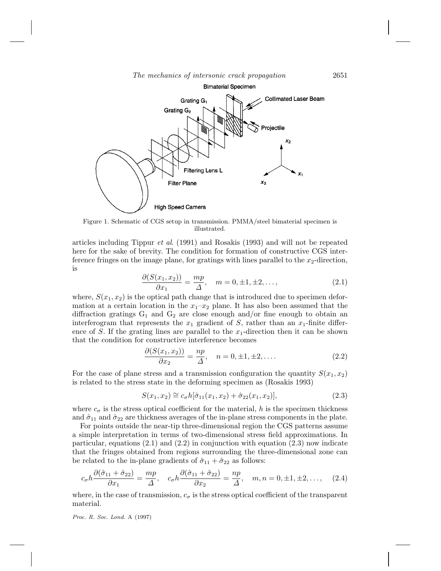The mechanics of intersonic crack propagation 2651



Figure 1. Schematic of CGS setup in transmission. PMMA/steel bimaterial specimen is illustrated.

articles including Tippur et al. (1991) and Rosakis (1993) and will not be repeated here for the sake of brevity. The condition for formation of constructive CGS interference fringes on the image plane, for gratings with lines parallel to the  $x_2$ -direction, is

$$
\frac{\partial (S(x_1, x_2))}{\partial x_1} = \frac{mp}{\Delta}, \quad m = 0, \pm 1, \pm 2, \dots,
$$
 (2.1)

where,  $S(x_1, x_2)$  is the optical path change that is introduced due to specimen deformation at a certain location in the  $x_1-x_2$  plane. It has also been assumed that the diffraction gratings  $G_1$  and  $G_2$  are close enough and/or fine enough to obtain an interferogram that represents the  $x_1$  gradient of S, rather than an  $x_1$ -finite difference of S. If the grating lines are parallel to the  $x_1$ -direction then it can be shown that the condition for constructive interference becomes

$$
\frac{\partial (S(x_1, x_2))}{\partial x_2} = \frac{np}{\Delta}, \quad n = 0, \pm 1, \pm 2, \dots
$$
 (2.2)

For the case of plane stress and a transmission configuration the quantity  $S(x_1, x_2)$ is related to the stress state in the deforming specimen as (Rosakis 1993)

$$
S(x_1, x_2) \cong c_\sigma h[\hat{\sigma}_{11}(x_1, x_2) + \hat{\sigma}_{22}(x_1, x_2)], \tag{2.3}
$$

where  $c_{\sigma}$  is the stress optical coefficient for the material, h is the specimen thickness and  $\hat{\sigma}_{11}$  and  $\hat{\sigma}_{22}$  are thickness averages of the in-plane stress components in the plate.

For points outside the near-tip three-dimensional region the CGS patterns assume a simple interpretation in terms of two-dimensional stress field approximations. In particular, equations  $(2.1)$  and  $(2.2)$  in conjunction with equation  $(2.3)$  now indicate that the fringes obtained from regions surrounding the three-dimensional zone can be related to the in-plane gradients of  $\hat{\sigma}_{11} + \hat{\sigma}_{22}$  as follows:

$$
c_{\sigma}h\frac{\partial(\hat{\sigma}_{11}+\hat{\sigma}_{22})}{\partial x_1} = \frac{mp}{\Delta}, \quad c_{\sigma}h\frac{\partial(\hat{\sigma}_{11}+\hat{\sigma}_{22})}{\partial x_2} = \frac{np}{\Delta}, \quad m, n = 0, \pm 1, \pm 2, \dots, \quad (2.4)
$$

where, in the case of transmission,  $c_{\sigma}$  is the stress optical coefficient of the transparent material.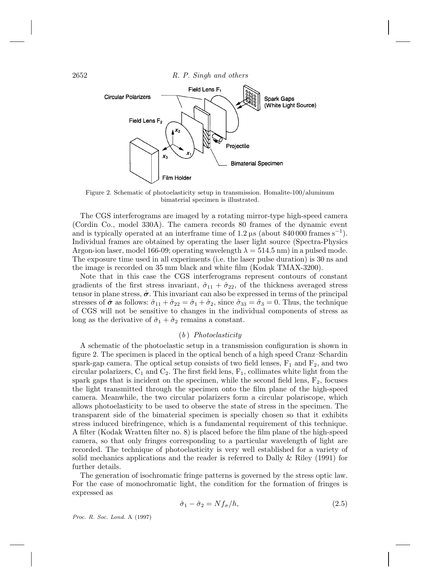

Figure 2. Schematic of photoelasticity setup in transmission. Homalite-100/aluminum bimaterial specimen is illustrated.

The CGS interferograms are imaged by a rotating mirror-type high-speed camera (Cordin Co., model 330A). The camera records 80 frames of the dynamic event and is typically operated at an interframe time of  $1.2 \,\mu s$  (about  $840\,000$  frames s<sup>-1</sup>). Individual frames are obtained by operating the laser light source (Spectra-Physics Argon-ion laser, model 166-09; operating wavelength  $\lambda = 514.5$  nm) in a pulsed mode. The exposure time used in all experiments (i.e. the laser pulse duration) is 30 ns and the image is recorded on 35 mm black and white film (Kodak TMAX-3200).

Note that in this case the CGS interferograms represent contours of constant gradients of the first stress invariant,  $\hat{\sigma}_{11} + \hat{\sigma}_{22}$ , of the thickness averaged stress tensor in plane stress,  $\hat{\sigma}$ . This invariant can also be expressed in terms of the principal stresses of  $\hat{\sigma}$  as follows:  $\hat{\sigma}_{11} + \hat{\sigma}_{22} = \hat{\sigma}_1 + \hat{\sigma}_2$ , since  $\hat{\sigma}_{33} = \hat{\sigma}_3 = 0$ . Thus, the technique of CGS will not be sensitive to changes in the individual components of stress as long as the derivative of  $\hat{\sigma}_1 + \hat{\sigma}_2$  remains a constant.

## $(b)$  Photoelasticity

A schematic of the photoelastic setup in a transmission configuration is shown in figure 2. The specimen is placed in the optical bench of a high speed Cranz–Schardin spark-gap camera. The optical setup consists of two field lenses,  $F_1$  and  $F_2$ , and two circular polarizers,  $C_1$  and  $C_2$ . The first field lens,  $F_1$ , collimates white light from the spark gaps that is incident on the specimen, while the second field lens,  $F_2$ , focuses the light transmitted through the specimen onto the film plane of the high-speed camera. Meanwhile, the two circular polarizers form a circular polariscope, which allows photoelasticity to be used to observe the state of stress in the specimen. The transparent side of the bimaterial specimen is specially chosen so that it exhibits stress induced birefringence, which is a fundamental requirement of this technique. A filter (Kodak Wratten filter no. 8) is placed before the film plane of the high-speed camera, so that only fringes corresponding to a particular wavelength of light are recorded. The technique of photoelasticity is very well established for a variety of solid mechanics applications and the reader is referred to Dally & Riley (1991) for further details.

The generation of isochromatic fringe patterns is governed by the stress optic law. For the case of monochromatic light, the condition for the formation of fringes is expressed as

$$
\hat{\sigma}_1 - \hat{\sigma}_2 = N f_{\sigma} / h,\tag{2.5}
$$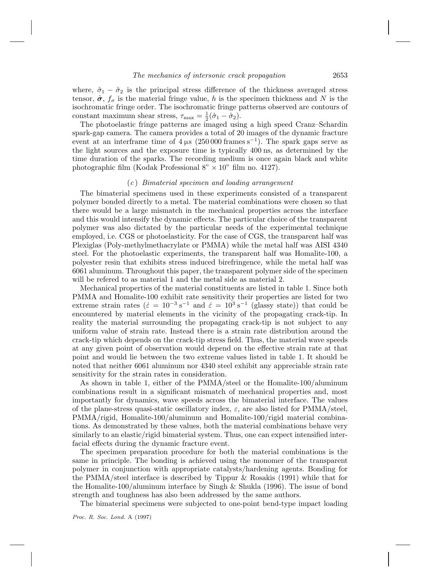where,  $\hat{\sigma}_1 - \hat{\sigma}_2$  is the principal stress difference of the thickness averaged stress tensor,  $\hat{\sigma}$ ,  $f_{\sigma}$  is the material fringe value, h is the specimen thickness and N is the isochromatic fringe order. The isochromatic fringe patterns observed are contours of constant maximum shear stress,  $\tau_{\text{max}} = \frac{1}{2}(\hat{\sigma}_1 - \hat{\sigma}_2).$ 

The photoelastic fringe patterns are imaged using a high speed Cranz–Schardin spark-gap camera. The camera provides a total of 20 images of the dynamic fracture event at an interframe time of  $4 \mu s$  (250 000 frames s<sup>-1</sup>). The spark gaps serve as the light sources and the exposure time is typically 400 ns, as determined by the time duration of the sparks. The recording medium is once again black and white photographic film (Kodak Professional  $8" \times 10"$  film no. 4127).

## (c ) Bimaterial specimen and loading arrangement

The bimaterial specimens used in these experiments consisted of a transparent polymer bonded directly to a metal. The material combinations were chosen so that there would be a large mismatch in the mechanical properties across the interface and this would intensify the dynamic effects. The particular choice of the transparent polymer was also dictated by the particular needs of the experimental technique employed, i.e. CGS or photoelasticity. For the case of CGS, the transparent half was Plexiglas (Poly-methylmethacrylate or PMMA) while the metal half was AISI 4340 steel. For the photoelastic experiments, the transparent half was Homalite-100, a polyester resin that exhibits stress induced birefringence, while the metal half was 6061 aluminum. Throughout this paper, the transparent polymer side of the specimen will be refered to as material 1 and the metal side as material 2.

Mechanical properties of the material constituents are listed in table 1. Since both PMMA and Homalite-100 exhibit rate sensitivity their properties are listed for two extreme strain rates ( $\dot{\epsilon} = 10^{-3} \text{ s}^{-1}$  and  $\dot{\epsilon} = 10^{3} \text{ s}^{-1}$  (glassy state)) that could be encountered by material elements in the vicinity of the propagating crack-tip. In reality the material surrounding the propagating crack-tip is not subject to any uniform value of strain rate. Instead there is a strain rate distribution around the crack-tip which depends on the crack-tip stress field. Thus, the material wave speeds at any given point of observation would depend on the effective strain rate at that point and would lie between the two extreme values listed in table 1. It should be noted that neither 6061 aluminum nor 4340 steel exhibit any appreciable strain rate sensitivity for the strain rates in consideration.

As shown in table 1, either of the PMMA/steel or the Homalite-100/aluminum combinations result in a significant mismatch of mechanical properties and, most importantly for dynamics, wave speeds across the bimaterial interface. The values of the plane-stress quasi-static oscillatory index,  $\varepsilon$ , are also listed for PMMA/steel, PMMA/rigid, Homalite-100/aluminum and Homalite-100/rigid material combinations. As demonstrated by these values, both the material combinations behave very similarly to an elastic/rigid bimaterial system. Thus, one can expect intensified interfacial effects during the dynamic fracture event.

The specimen preparation procedure for both the material combinations is the same in principle. The bonding is achieved using the monomer of the transparent polymer in conjunction with appropriate catalysts/hardening agents. Bonding for the PMMA/steel interface is described by Tippur & Rosakis (1991) while that for the Homalite-100/aluminum interface by Singh  $\&$  Shukla (1996). The issue of bond strength and toughness has also been addressed by the same authors.

The bimaterial specimens were subjected to one-point bend-type impact loading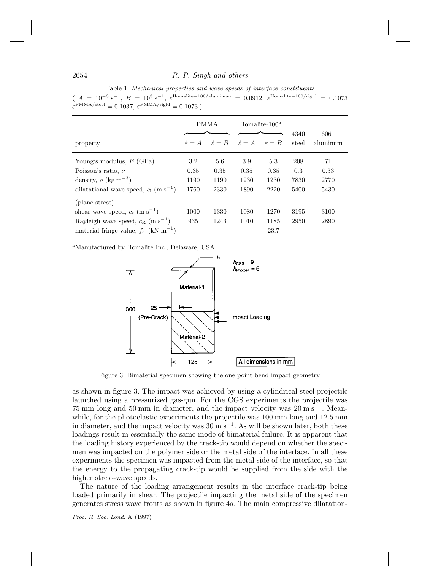Table 1. Mechanical properties and wave speeds of interface constituents

| $(A = 10^{-3} \text{ s}^{-1}, B = 10^{3} \text{ s}^{-1}, \varepsilon^{\text{Homalite}-100/\text{aluminum}} = 0.0912, \varepsilon^{\text{Homalite}-100/\text{rigid}} = 0.1073$ |  |
|-------------------------------------------------------------------------------------------------------------------------------------------------------------------------------|--|
| $\varepsilon^{\text{PMMA}/\text{steel}} = 0.1037$ , $\varepsilon^{\text{PMMA}/\text{rigid}} = 0.1073$ .                                                                       |  |

|                                                           | <b>PMMA</b>             |                         | Homalite- $100^a$     |                         | 4340  | 6061     |
|-----------------------------------------------------------|-------------------------|-------------------------|-----------------------|-------------------------|-------|----------|
| property                                                  | $\dot{\varepsilon} = A$ | $\dot{\varepsilon} = B$ | $\dot{\varepsilon}=A$ | $\dot{\varepsilon} = B$ | steel | aluminum |
| Young's modulus, $E$ (GPa)                                | 3.2                     | 5.6                     | 3.9                   | 5.3                     | 208   | 71       |
| Poisson's ratio, $\nu$                                    | 0.35                    | 0.35                    | 0.35                  | 0.35                    | 0.3   | 0.33     |
| density, $\rho$ (kg m <sup>-3</sup> )                     | 1190                    | 1190                    | 1230                  | 1230                    | 7830  | 2770     |
| dilatational wave speed, $c_1$ (m s <sup>-1</sup> )       | 1760                    | 2330                    | 1890                  | 2220                    | 5400  | 5430     |
| (plane stress)                                            |                         |                         |                       |                         |       |          |
| shear wave speed, $c_s$ (m s <sup>-1</sup> )              | 1000                    | 1330                    | 1080                  | 1270                    | 3195  | 3100     |
| Rayleigh wave speed, $c_R$ (m s <sup>-1</sup> )           | 935                     | 1243                    | 1010                  | 1185                    | 2950  | 2890     |
| material fringe value, $f_{\sigma}$ (kN m <sup>-1</sup> ) |                         |                         |                       | 23.7                    |       |          |

<sup>a</sup>Manufactured by Homalite Inc., Delaware, USA.



Figure 3. Bimaterial specimen showing the one point bend impact geometry.

as shown in figure 3. The impact was achieved by using a cylindrical steel projectile launched using a pressurized gas-gun. For the CGS experiments the projectile was 75 mm long and 50 mm in diameter, and the impact velocity was  $20 \text{ m s}^{-1}$ . Meanwhile, for the photoelastic experiments the projectile was  $100 \text{ mm}$  long and  $12.5 \text{ mm}$ in diameter, and the impact velocity was  $30 \text{ m s}^{-1}$ . As will be shown later, both these loadings result in essentially the same mode of bimaterial failure. It is apparent that the loading history experienced by the crack-tip would depend on whether the specimen was impacted on the polymer side or the metal side of the interface. In all these experiments the specimen was impacted from the metal side of the interface, so that the energy to the propagating crack-tip would be supplied from the side with the higher stress-wave speeds.

The nature of the loading arrangement results in the interface crack-tip being loaded primarily in shear. The projectile impacting the metal side of the specimen generates stress wave fronts as shown in figure 4a. The main compressive dilatation-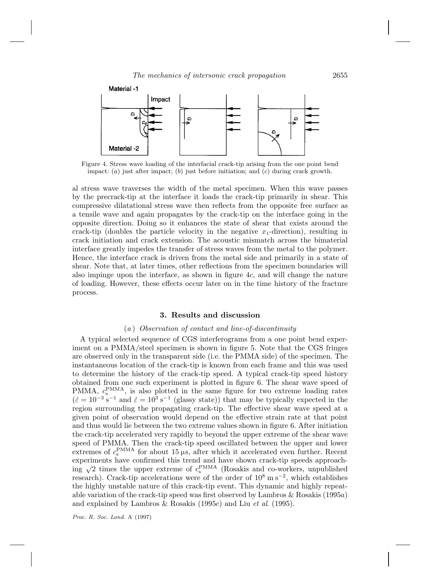

Figure 4. Stress wave loading of the interfacial crack-tip arising from the one point bend impact:  $(a)$  just after impact;  $(b)$  just before initiation; and  $(c)$  during crack growth.

al stress wave traverses the width of the metal specimen. When this wave passes by the precrack-tip at the interface it loads the crack-tip primarily in shear. This compressive dilatational stress wave then reflects from the opposite free surface as a tensile wave and again propagates by the crack-tip on the interface going in the opposite direction. Doing so it enhances the state of shear that exists around the crack-tip (doubles the particle velocity in the negative  $x_1$ -direction), resulting in crack initiation and crack extension. The acoustic mismatch across the bimaterial interface greatly impedes the transfer of stress waves from the metal to the polymer. Hence, the interface crack is driven from the metal side and primarily in a state of shear. Note that, at later times, other reflections from the specimen boundaries will also impinge upon the interface, as shown in figure 4c, and will change the nature of loading. However, these effects occur later on in the time history of the fracture process.

#### **3. Results and discussion**

## (a ) Observation of contact and line-of-discontinuity

A typical selected sequence of CGS interferograms from a one point bend experiment on a PMMA/steel specimen is shown in figure 5. Note that the CGS fringes are observed only in the transparent side (i.e. the PMMA side) of the specimen. The instantaneous location of the crack-tip is known from each frame and this was used to determine the history of the crack-tip speed. A typical crack-tip speed history obtained from one such experiment is plotted in figure 6. The shear wave speed of PMMA,  $c_s^{\text{PMMA}}$ , is also plotted in the same figure for two extreme loading rates  $(\dot{\varepsilon} = 10^{-3} \text{ s}^{-1}$  and  $\dot{\varepsilon} = 10^{3} \text{ s}^{-1}$  (glassy state)) that may be typically expected in the region surrounding the propagating crack-tip. The effective shear wave speed at a given point of observation would depend on the effective strain rate at that point and thus would lie between the two extreme values shown in figure 6. After initiation the crack-tip accelerated very rapidly to beyond the upper extreme of the shear wave speed of PMMA. Then the crack-tip speed oscillated between the upper and lower extremes of  $c_s^{\text{PMMA}}$  for about 15  $\mu$ s, after which it accelerated even further. Recent experiments have confirmed this trend and have shown crack-tip speeds approaching  $\sqrt{2}$  times the upper extreme of  $c_s^{\text{PMMA}}$  (Rosakis and co-workers, unpublished research). Crack-tip accelerations were of the order of 10<sup>8</sup> m s−<sup>2</sup>, which establishes the highly unstable nature of this crack-tip event. This dynamic and highly repeatable variation of the crack-tip speed was first observed by Lambros & Rosakis (1995a) and explained by Lambros & Rosakis (1995c) and Liu et al. (1995).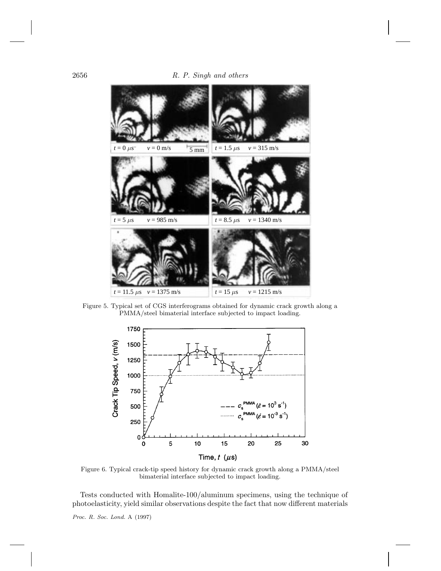

Figure 5. Typical set of CGS interferograms obtained for dynamic crack growth along a PMMA/steel bimaterial interface subjected to impact loading.



Figure 6. Typical crack-tip speed history for dynamic crack growth along a PMMA/steel bimaterial interface subjected to impact loading.

Tests conducted with Homalite-100/aluminum specimens, using the technique of photoelasticity, yield similar observations despite the fact that now different materials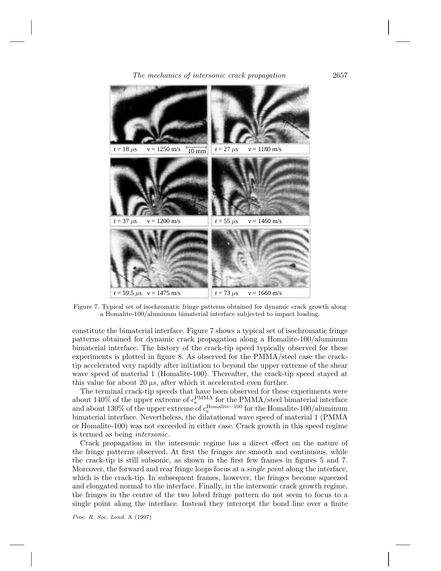

Figure 7. Typical set of isochromatic fringe patterns obtained for dynamic crack growth along a Homalite-100/aluminum bimaterial interface subjected to impact loading.

constitute the bimaterial interface. Figure 7 shows a typical set of isochromatic fringe patterns obtained for dynamic crack propagation along a Homalite-100/aluminum bimaterial interface. The history of the crack-tip speed typically observed for these experiments is plotted in figure 8. As observed for the PMMA/steel case the cracktip accelerated very rapidly after initiation to beyond the upper extreme of the shear wave speed of material 1 (Homalite-100). Thereafter, the crack-tip speed stayed at this value for about 20 µs, after which it accelerated even further.

The terminal crack-tip speeds that have been observed for these experiments were about 140% of the upper extreme of  $c_s^{\text{PMMA}}$  for the PMMA/steel bimaterial interface and about  $130\%$  of the upper extreme of  $c_{\rm s}^{\rm Homalite-100}$  for the Homalite-100/aluminum bimaterial interface. Nevertheless, the dilatational wave speed of material 1 (PMMA or Homalite-100) was not exceeded in either case. Crack growth in this speed regime is termed as being intersonic.

Crack propagation in the intersonic regime has a direct effect on the nature of the fringe patterns observed. At first the fringes are smooth and continuous, while the crack-tip is still subsonic, as shown in the first few frames in figures 5 and 7. Moreover, the forward and rear fringe loops focus at a *single point* along the interface, which is the crack-tip. In subsequent frames, however, the fringes become squeezed and elongated normal to the interface. Finally, in the intersonic crack growth regime, the fringes in the centre of the two lobed fringe pattern do not seem to focus to a single point along the interface. Instead they intercept the bond line over a finite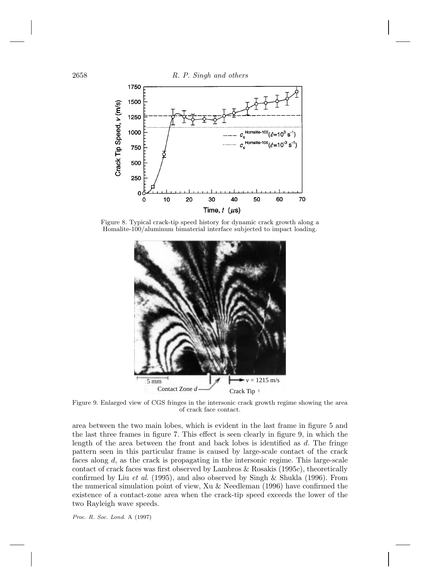2658 R. P. Singh and others 1750 1500 Crack Tip Speed, v (m/s) 1250  $\frac{1}{2}$  domalite-100  $(\varepsilon=10^3$ 1000  $\mathbf{s}$ 750 500 250 0 60 70 0 10 20 30 40 50 Time,  $t$  ( $\mu$ s)

Figure 8. Typical crack-tip speed history for dynamic crack growth along a Homalite-100/aluminum bimaterial interface subjected to impact loading.



Figure 9. Enlarged view of CGS fringes in the intersonic crack growth regime showing the area of crack face contact.

area between the two main lobes, which is evident in the last frame in figure 5 and the last three frames in figure 7. This effect is seen clearly in figure 9, in which the length of the area between the front and back lobes is identified as  $d$ . The fringe pattern seen in this particular frame is caused by large-scale contact of the crack faces along d, as the crack is propagating in the intersonic regime. This large-scale contact of crack faces was first observed by Lambros & Rosakis (1995c), theoretically confirmed by Liu *et al.* (1995), and also observed by Singh & Shukla (1996). From the numerical simulation point of view, Xu & Needleman (1996) have confirmed the existence of a contact-zone area when the crack-tip speed exceeds the lower of the two Rayleigh wave speeds.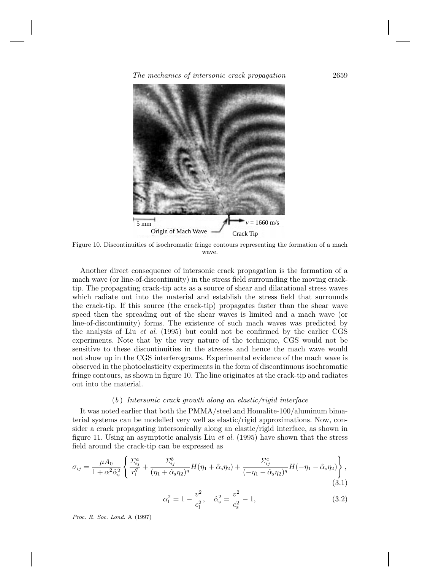The mechanics of intersonic crack propagation 2659



Figure 10. Discontinuities of isochromatic fringe contours representing the formation of a mach wave.

Another direct consequence of intersonic crack propagation is the formation of a mach wave (or line-of-discontinuity) in the stress field surrounding the moving cracktip. The propagating crack-tip acts as a source of shear and dilatational stress waves which radiate out into the material and establish the stress field that surrounds the crack-tip. If this source (the crack-tip) propagates faster than the shear wave speed then the spreading out of the shear waves is limited and a mach wave (or line-of-discontinuity) forms. The existence of such mach waves was predicted by the analysis of Liu et al. (1995) but could not be confirmed by the earlier CGS experiments. Note that by the very nature of the technique, CGS would not be sensitive to these discontinuities in the stresses and hence the mach wave would not show up in the CGS interferograms. Experimental evidence of the mach wave is observed in the photoelasticity experiments in the form of discontinuous isochromatic fringe contours, as shown in figure 10. The line originates at the crack-tip and radiates out into the material.

## $(b)$  Intersonic crack growth along an elastic/rigid interface

It was noted earlier that both the PMMA/steel and Homalite-100/aluminum bimaterial systems can be modelled very well as elastic/rigid approximations. Now, consider a crack propagating intersonically along an elastic/rigid interface, as shown in figure 11. Using an asymptotic analysis Liu *et al.* (1995) have shown that the stress field around the crack-tip can be expressed as

$$
\sigma_{ij} = \frac{\mu A_0}{1 + \alpha_1^2 \hat{\alpha}_s^2} \left\{ \frac{\Sigma_{ij}^a}{r_1^q} + \frac{\Sigma_{ij}^b}{(\eta_1 + \hat{\alpha}_s \eta_2)^q} H(\eta_1 + \hat{\alpha}_s \eta_2) + \frac{\Sigma_{ij}^c}{(-\eta_1 - \hat{\alpha}_s \eta_2)^q} H(-\eta_1 - \hat{\alpha}_s \eta_2) \right\},\tag{3.1}
$$

$$
\alpha_1^2 = 1 - \frac{v^2}{c_1^2}, \quad \hat{\alpha}_s^2 = \frac{v^2}{c_s^2} - 1,\tag{3.2}
$$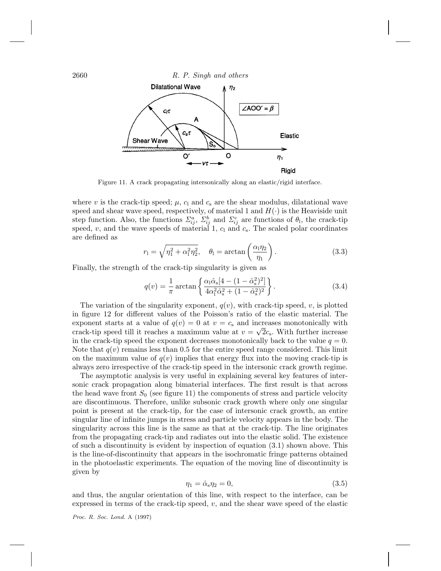

Figure 11. A crack propagating intersonically along an elastic/rigid interface.

where v is the crack-tip speed;  $\mu$ ,  $c_1$  and  $c_s$  are the shear modulus, dilatational wave speed and shear wave speed, respectively, of material 1 and  $H(\cdot)$  is the Heaviside unit step function. Also, the functions  $\Sigma_{ij}^a$ ,  $\Sigma_{ij}^b$  and  $\Sigma_{ij}^c$  are functions of  $\theta_1$ , the crack-tip speed,  $v$ , and the wave speeds of material 1,  $c<sub>l</sub>$  and  $c<sub>s</sub>$ . The scaled polar coordinates are defined as

$$
r_1 = \sqrt{\eta_1^2 + \alpha_1^2 \eta_2^2}, \quad \theta_1 = \arctan\left(\frac{\alpha_1 \eta_2}{\eta_1}\right). \tag{3.3}
$$

Finally, the strength of the crack-tip singularity is given as

$$
q(v) = \frac{1}{\pi} \arctan\left\{ \frac{\alpha_1 \hat{\alpha}_s [4 - (1 - \hat{\alpha}_s^2)^2]}{4\alpha_1^2 \hat{\alpha}_s^2 + (1 - \hat{\alpha}_s^2)^2} \right\}.
$$
 (3.4)

The variation of the singularity exponent,  $q(v)$ , with crack-tip speed, v, is plotted in figure 12 for different values of the Poisson's ratio of the elastic material. The exponent starts at a value of  $q(v) = 0$  at  $v = c_s$  and increases monotonically with crack-tip speed till it reaches a maximum value at  $v = \sqrt{2}c_s$ . With further increase in the crack-tip speed the exponent decreases monotonically back to the value  $q = 0$ . Note that  $q(v)$  remains less than 0.5 for the entire speed range considered. This limit on the maximum value of  $q(v)$  implies that energy flux into the moving crack-tip is always zero irrespective of the crack-tip speed in the intersonic crack growth regime.

The asymptotic analysis is very useful in explaining several key features of intersonic crack propagation along bimaterial interfaces. The first result is that across the head wave front  $S_0$  (see figure 11) the components of stress and particle velocity are discontinuous. Therefore, unlike subsonic crack growth where only one singular point is present at the crack-tip, for the case of intersonic crack growth, an entire singular line of infinite jumps in stress and particle velocity appears in the body. The singularity across this line is the same as that at the crack-tip. The line originates from the propagating crack-tip and radiates out into the elastic solid. The existence of such a discontinuity is evident by inspection of equation (3.1) shown above. This is the line-of-discontinuity that appears in the isochromatic fringe patterns obtained in the photoelastic experiments. The equation of the moving line of discontinuity is given by

$$
\eta_1 = \hat{\alpha}_s \eta_2 = 0,\tag{3.5}
$$

and thus, the angular orientation of this line, with respect to the interface, can be expressed in terms of the crack-tip speed,  $v$ , and the shear wave speed of the elastic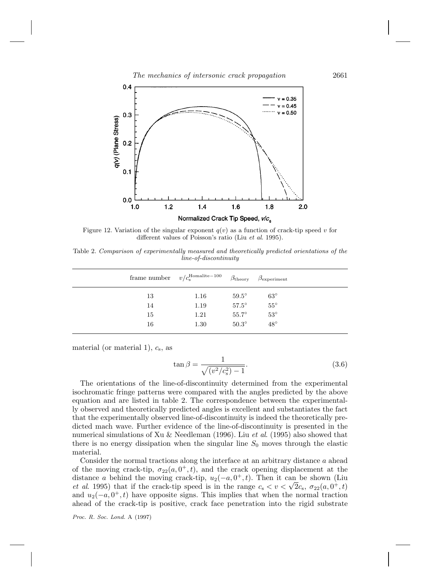

Figure 12. Variation of the singular exponent  $q(v)$  as a function of crack-tip speed v for different values of Poisson's ratio (Liu et al. 1995).

Table 2. Comparison of experimentally measured and theoretically predicted orientations of the line-of-discontinuity

|    | frame number $v/c_s^{\text{Homalite}-100}$ | $\beta_{\rm theory}$ | $\beta_{\rm experiment}$ |  |
|----|--------------------------------------------|----------------------|--------------------------|--|
| 13 | 1.16                                       | $59.5^\circ$         | $63^{\circ}$             |  |
| 14 | 1.19                                       | $57.5^\circ$         | $55^\circ$               |  |
| 15 | 1.21                                       | $55.7^\circ$         | $53^{\circ}$             |  |
| 16 | 1.30                                       | $50.3^\circ$         | $48^{\circ}$             |  |
|    |                                            |                      |                          |  |

material (or material 1),  $c_s$ , as

$$
\tan \beta = \frac{1}{\sqrt{(v^2/c_s^2) - 1}}.\tag{3.6}
$$

The orientations of the line-of-discontinuity determined from the experimental isochromatic fringe patterns were compared with the angles predicted by the above equation and are listed in table 2. The correspondence between the experimentally observed and theoretically predicted angles is excellent and substantiates the fact that the experimentally observed line-of-discontinuity is indeed the theoretically predicted mach wave. Further evidence of the line-of-discontinuity is presented in the numerical simulations of Xu & Needleman (1996). Liu et al. (1995) also showed that there is no energy dissipation when the singular line  $S_0$  moves through the elastic material.

Consider the normal tractions along the interface at an arbitrary distance a ahead of the moving crack-tip,  $\sigma_{22}(a, 0^+, t)$ , and the crack opening displacement at the distance a behind the moving crack-tip,  $u_2(-a, 0^+, t)$ . Then it can be shown (Liu et al. 1995) that if the crack-tip speed is in the range  $c_s < v < \sqrt{2}c_s$ ,  $\sigma_{22}(a, 0^+, t)$ and  $u_2(-a, 0^+, t)$  have opposite signs. This implies that when the normal traction ahead of the crack-tip is positive, crack face penetration into the rigid substrate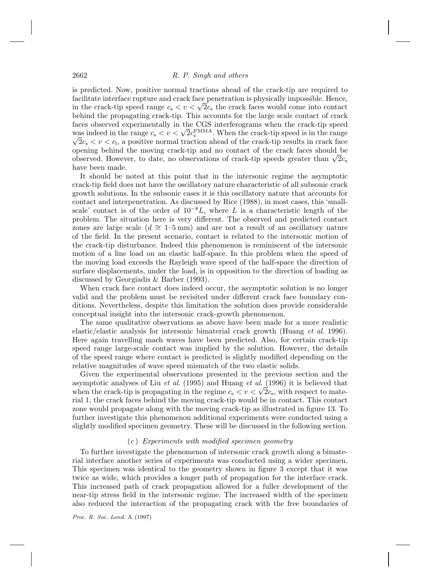is predicted. Now, positive normal tractions ahead of the crack-tip are required to facilitate interface rupture and crack face penetration is physically impossible. Hence, in the crack-tip speed range  $c_s < v < \sqrt{2}c_s$  the crack faces would come into contact behind the propagating crack-tip. This accounts for the large scale contact of crack faces observed experimentally in the CGS interferograms when the crack-tip speed was indeed in the range  $c_s < v < \sqrt{2}c_s^{\text{PMMA}}$ . When the crack-tip speed is in the range  $\sqrt{2}c \le v \le c_s$ , a positive permal traction ahead of the crack tip results in crack focal  $\sqrt{2}c_s < v < c_1$ , a positive normal traction ahead of the crack-tip results in crack face opening behind the moving crack-tip and no contact of the crack faces should be observed. However, to date, no observations of crack-tip speeds greater than  $\sqrt{2}c_s$ have been made.

It should be noted at this point that in the intersonic regime the asymptotic crack-tip field does not have the oscillatory nature characteristic of all subsonic crack growth solutions. In the subsonic cases it is this oscillatory nature that accounts for contact and interpenetration. As discussed by Rice (1988), in most cases, this 'smallscale' contact is of the order of  $10^{-8}L$ , where L is a characteristic length of the problem. The situation here is very different. The observed and predicted contact zones are large scale ( $d \approx 1$ –5 mm) and are not a result of an oscillatory nature of the field. In the present scenario, contact is related to the intersonic motion of the crack-tip disturbance. Indeed this phenomenon is reminiscent of the intersonic motion of a line load on an elastic half-space. In this problem when the speed of the moving load exceeds the Rayleigh wave speed of the half-space the direction of surface displacements, under the load, is in opposition to the direction of loading as discussed by Georgiadis & Barber (1993).

When crack face contact does indeed occur, the asymptotic solution is no longer valid and the problem must be revisited under different crack face boundary conditions. Nevertheless, despite this limitation the solution does provide considerable conceptual insight into the intersonic crack-growth phenomenon.

The same qualitative observations as above have been made for a more realistic elastic/elastic analysis for intersonic bimaterial crack growth (Huang et al. 1996). Here again travelling mach waves have been predicted. Also, for certain crack-tip speed range large-scale contact was implied by the solution. However, the details of the speed range where contact is predicted is slightly modified depending on the relative magnitudes of wave speed mismatch of the two elastic solids.

Given the experimental observations presented in the previous section and the asymptotic analyses of Liu et al. (1995) and Huang et al. (1996) it is believed that when the crack-tip is propagating in the regime  $c_{s} < v < \sqrt{2}c_{s}$ , with respect to material 1, the crack faces behind the moving crack-tip would be in contact. This contact zone would propagate along with the moving crack-tip as illustrated in figure 13. To further investigate this phenomenon additional experiments were conducted using a slightly modified specimen geometry. These will be discussed in the following section.

## $(c)$  Experiments with modified specimen geometry

To further investigate the phenomenon of intersonic crack growth along a bimaterial interface another series of experiments was conducted using a wider specimen. This specimen was identical to the geometry shown in figure 3 except that it was twice as wide, which provides a longer path of propagation for the interface crack. This increased path of crack propagation allowed for a fuller development of the near-tip stress field in the intersonic regime. The increased width of the specimen also reduced the interaction of the propagating crack with the free boundaries of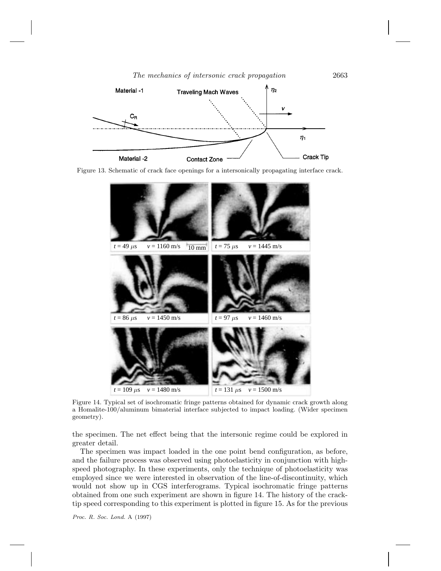

Figure 13. Schematic of crack face openings for a intersonically propagating interface crack.



Figure 14. Typical set of isochromatic fringe patterns obtained for dynamic crack growth along a Homalite-100/aluminum bimaterial interface subjected to impact loading. (Wider specimen geometry).

the specimen. The net effect being that the intersonic regime could be explored in greater detail.

The specimen was impact loaded in the one point bend configuration, as before, and the failure process was observed using photoelasticity in conjunction with highspeed photography. In these experiments, only the technique of photoelasticity was employed since we were interested in observation of the line-of-discontinuity, which would not show up in CGS interferograms. Typical isochromatic fringe patterns obtained from one such experiment are shown in figure 14. The history of the cracktip speed corresponding to this experiment is plotted in figure 15. As for the previous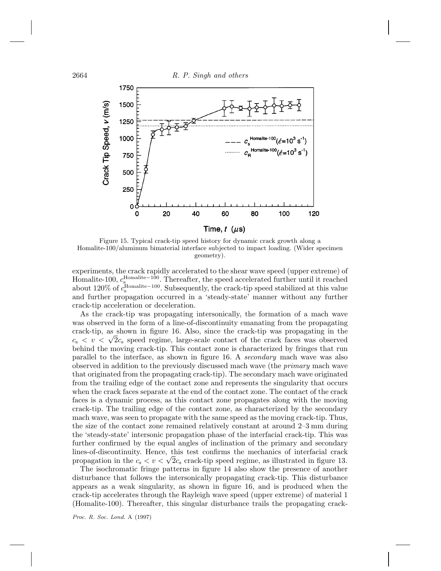

Figure 15. Typical crack-tip speed history for dynamic crack growth along a Homalite-100/aluminum bimaterial interface subjected to impact loading. (Wider specimen geometry).

experiments, the crack rapidly accelerated to the shear wave speed (upper extreme) of Homalite-100,  $c_s^{\text{Homalite}-100}$ . Thereafter, the speed accelerated further until it reached about 120% of  $c_s^{\text{Homalite}-100}$ . Subsequently, the crack-tip speed stabilized at this value and further propagation occurred in a 'steady-state' manner without any further crack-tip acceleration or deceleration.

As the crack-tip was propagating intersonically, the formation of a mach wave was observed in the form of a line-of-discontinuity emanating from the propagating crack-tip, as shown in figure 16. Also, since the crack-tip was propagating in the  $c_s < v < \sqrt{2}c_s$  speed regime, large-scale contact of the crack faces was observed behind the moving crack-tip. This contact zone is characterized by fringes that run parallel to the interface, as shown in figure 16. A secondary mach wave was also observed in addition to the previously discussed mach wave (the primary mach wave that originated from the propagating crack-tip). The secondary mach wave originated from the trailing edge of the contact zone and represents the singularity that occurs when the crack faces separate at the end of the contact zone. The contact of the crack faces is a dynamic process, as this contact zone propagates along with the moving crack-tip. The trailing edge of the contact zone, as characterized by the secondary mach wave, was seen to propagate with the same speed as the moving crack-tip. Thus, the size of the contact zone remained relatively constant at around 2–3 mm during the 'steady-state' intersonic propagation phase of the interfacial crack-tip. This was further confirmed by the equal angles of inclination of the primary and secondary lines-of-discontinuity. Hence, this test confirms the mechanics of interfacial crack propagation in the  $c_s < v < \sqrt{2}c_s$  crack-tip speed regime, as illustrated in figure 13.

The isochromatic fringe patterns in figure 14 also show the presence of another disturbance that follows the intersonically propagating crack-tip. This disturbance appears as a weak singularity, as shown in figure 16, and is produced when the crack-tip accelerates through the Rayleigh wave speed (upper extreme) of material 1 (Homalite-100). Thereafter, this singular disturbance trails the propagating crack-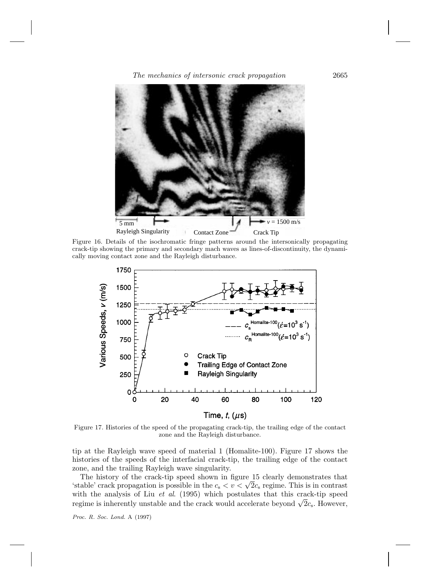The mechanics of intersonic crack propagation 2665



Figure 16. Details of the isochromatic fringe patterns around the intersonically propagating crack-tip showing the primary and secondary mach waves as lines-of-discontinuity, the dynamically moving contact zone and the Rayleigh disturbance.



Figure 17. Histories of the speed of the propagating crack-tip, the trailing edge of the contact zone and the Rayleigh disturbance.

tip at the Rayleigh wave speed of material 1 (Homalite-100). Figure 17 shows the histories of the speeds of the interfacial crack-tip, the trailing edge of the contact zone, and the trailing Rayleigh wave singularity.

The history of the crack-tip speed shown in figure 15 clearly demonstrates that 'stable' crack propagation is possible in the  $c_s < v < \sqrt{2c_s}$  regime. This is in contrast with the analysis of Liu  $et$  al. (1995) which postulates that this crack-tip speed regime is inherently unstable and the crack would accelerate beyond  $\sqrt{2}c_s$ . However,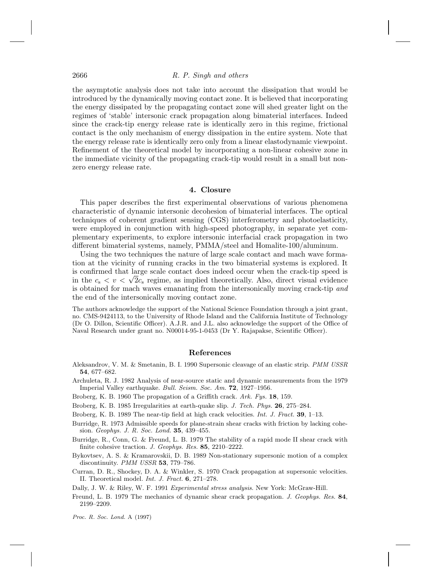the asymptotic analysis does not take into account the dissipation that would be introduced by the dynamically moving contact zone. It is believed that incorporating the energy dissipated by the propagating contact zone will shed greater light on the regimes of 'stable' intersonic crack propagation along bimaterial interfaces. Indeed since the crack-tip energy release rate is identically zero in this regime, frictional contact is the only mechanism of energy dissipation in the entire system. Note that the energy release rate is identically zero only from a linear elastodynamic viewpoint. Refinement of the theoretical model by incorporating a non-linear cohesive zone in the immediate vicinity of the propagating crack-tip would result in a small but nonzero energy release rate.

## **4. Closure**

This paper describes the first experimental observations of various phenomena characteristic of dynamic intersonic decohesion of bimaterial interfaces. The optical techniques of coherent gradient sensing (CGS) interferometry and photoelasticity, were employed in conjunction with high-speed photography, in separate yet complementary experiments, to explore intersonic interfacial crack propagation in two different bimaterial systems, namely,  $PMMA/$ steel and Homalite-100/aluminum.

Using the two techniques the nature of large scale contact and mach wave formation at the vicinity of running cracks in the two bimaterial systems is explored. It is confirmed that large scale contact does indeed occur when the crack-tip speed is in the  $c_s < v < \sqrt{2c_s}$  regime, as implied theoretically. Also, direct visual evidence is obtained for mach waves emanating from the intersonically moving crack-tip and the end of the intersonically moving contact zone.

The authors acknowledge the support of the National Science Foundation through a joint grant, no. CMS-9424113, to the University of Rhode Island and the California Institute of Technology (Dr O. Dillon, Scientific Officer). A.J.R. and J.L. also acknowledge the support of the Office of Naval Research under grant no. N00014-95-1-0453 (Dr Y. Rajapakse, Scientific Officer).

#### **References**

- Aleksandrov, V. M. & Smetanin, B. I. 1990 Supersonic cleavage of an elastic strip. PMM USSR **54**, 677–682.
- Archuleta, R. J. 1982 Analysis of near-source static and dynamic measurements from the 1979 Imperial Valley earthquake. Bull. Seism. Soc. Am. **72**, 1927–1956.
- Broberg, K. B. 1960 The propagation of a Griffith crack. Ark. Fys. **18**, 159.
- Broberg, K. B. 1985 Irregularities at earth-quake slip. J. Tech. Phys. **26**, 275–284.
- Broberg, K. B. 1989 The near-tip field at high crack velocities. Int. J. Fract. **39**, 1–13.
- Burridge, R. 1973 Admissible speeds for plane-strain shear cracks with friction by lacking cohesion. Geophys. J. R. Soc. Lond. **35**, 439–455.
- Burridge, R., Conn, G. & Freund, L. B. 1979 The stability of a rapid mode II shear crack with finite cohesive traction. J. Geophys. Res. **85**, 2210–2222.
- Bykovtsev, A. S. & Kramarovskii, D. B. 1989 Non-stationary supersonic motion of a complex discontinuity. PMM USSR **53**, 779–786.
- Curran, D. R., Shockey, D. A. & Winkler, S. 1970 Crack propagation at supersonic velocities. II. Theoretical model. Int. J. Fract. **6**, 271–278.

Dally, J. W. & Riley, W. F. 1991 Experimental stress analysis. New York: McGraw-Hill.

Freund, L. B. 1979 The mechanics of dynamic shear crack propagation. J. Geophys. Res. **84**, 2199–2209.